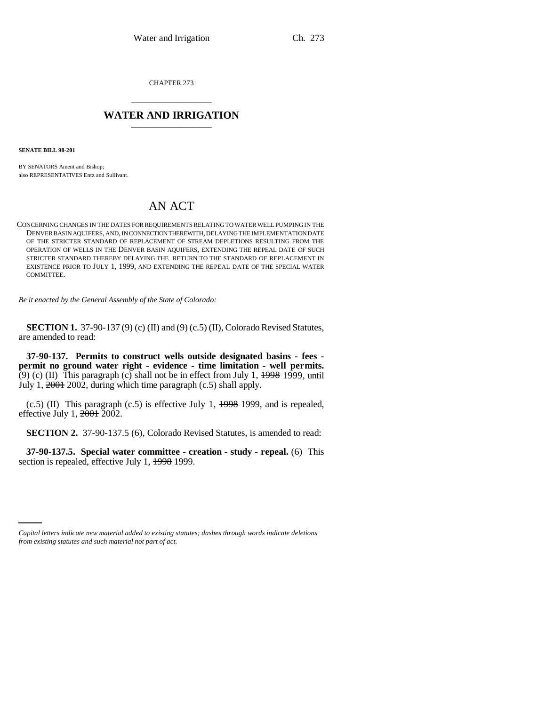CHAPTER 273 \_\_\_\_\_\_\_\_\_\_\_\_\_\_\_

## **WATER AND IRRIGATION** \_\_\_\_\_\_\_\_\_\_\_\_\_\_\_

**SENATE BILL 98-201**

BY SENATORS Ament and Bishop; also REPRESENTATIVES Entz and Sullivant.

## AN ACT

CONCERNING CHANGES IN THE DATES FOR REQUIREMENTS RELATING TO WATER WELL PUMPING IN THE DENVER BASIN AQUIFERS, AND, IN CONNECTION THEREWITH, DELAYING THE IMPLEMENTATION DATE OF THE STRICTER STANDARD OF REPLACEMENT OF STREAM DEPLETIONS RESULTING FROM THE OPERATION OF WELLS IN THE DENVER BASIN AQUIFERS, EXTENDING THE REPEAL DATE OF SUCH STRICTER STANDARD THEREBY DELAYING THE RETURN TO THE STANDARD OF REPLACEMENT IN EXISTENCE PRIOR TO JULY 1, 1999, AND EXTENDING THE REPEAL DATE OF THE SPECIAL WATER COMMITTEE.

*Be it enacted by the General Assembly of the State of Colorado:*

**SECTION 1.** 37-90-137 (9) (c) (II) and (9) (c.5) (II), Colorado Revised Statutes, are amended to read:

**37-90-137. Permits to construct wells outside designated basins - fees permit no ground water right - evidence - time limitation - well permits.** (9) (c) (II) This paragraph (c) shall not be in effect from July 1,  $\frac{1998}{1999}$ , until July 1, 2001 2002, during which time paragraph (c.5) shall apply.

 $(c.5)$  (II) This paragraph  $(c.5)$  is effective July 1,  $\frac{1998}{1999}$ , and is repealed, effective July 1,  $2001$   $2002$ .

**SECTION 2.** 37-90-137.5 (6), Colorado Revised Statutes, is amended to read:

**37-90-137.5. Special water committee - creation - study - repeal.** (6) This section is repealed, effective July 1,  $\frac{1998}{1999}$ .

*Capital letters indicate new material added to existing statutes; dashes through words indicate deletions from existing statutes and such material not part of act.*